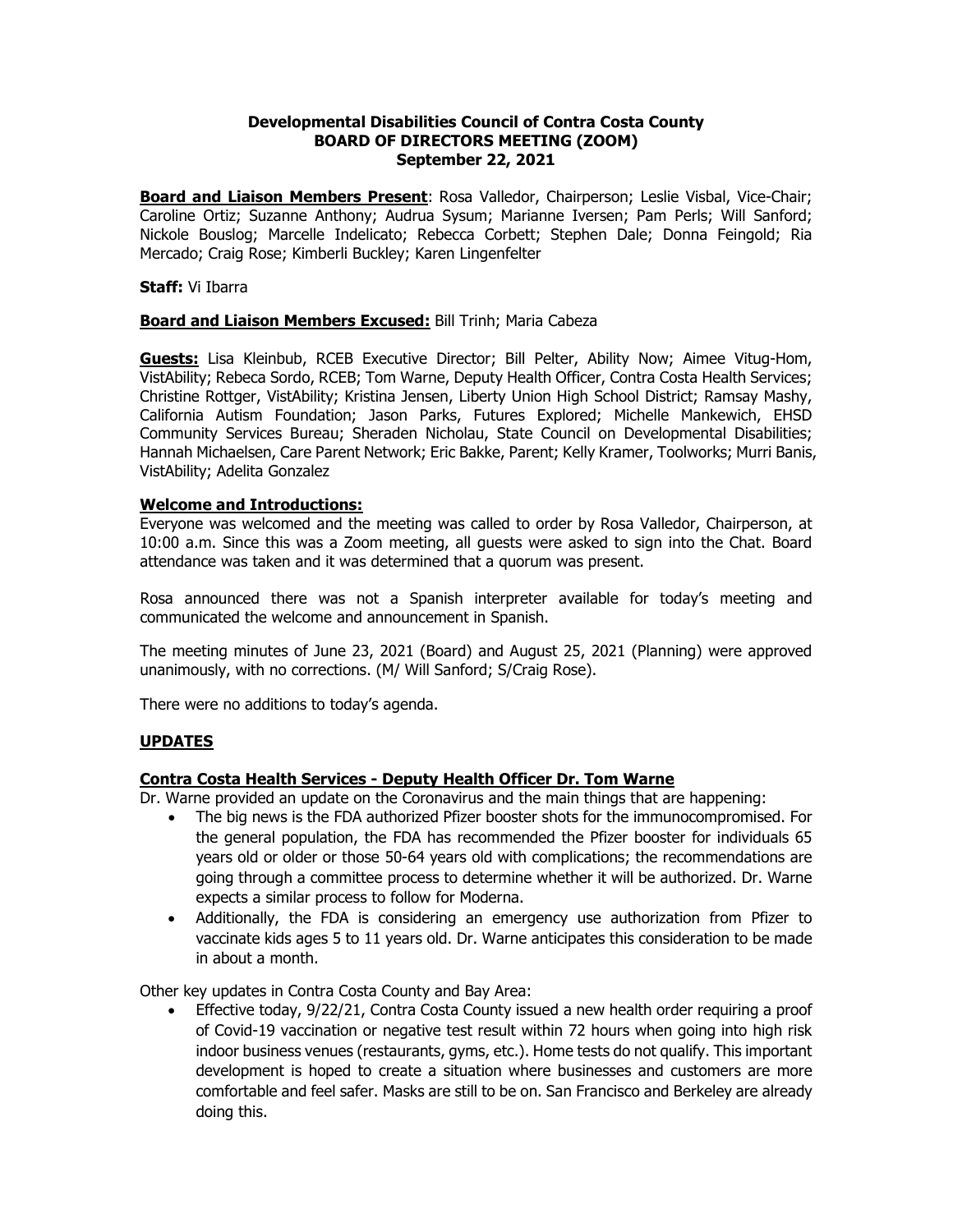#### **Developmental Disabilities Council of Contra Costa County BOARD OF DIRECTORS MEETING (ZOOM) September 22, 2021**

**Board and Liaison Members Present**: Rosa Valledor, Chairperson; Leslie Visbal, Vice-Chair; Caroline Ortiz; Suzanne Anthony; Audrua Sysum; Marianne Iversen; Pam Perls; Will Sanford; Nickole Bouslog; Marcelle Indelicato; Rebecca Corbett; Stephen Dale; Donna Feingold; Ria Mercado; Craig Rose; Kimberli Buckley; Karen Lingenfelter

#### **Staff:** Vi Ibarra

# **Board and Liaison Members Excused:** Bill Trinh; Maria Cabeza

**Guests:** Lisa Kleinbub, RCEB Executive Director; Bill Pelter, Ability Now; Aimee Vitug-Hom, VistAbility; Rebeca Sordo, RCEB; Tom Warne, Deputy Health Officer, Contra Costa Health Services; Christine Rottger, VistAbility; Kristina Jensen, Liberty Union High School District; Ramsay Mashy, California Autism Foundation; Jason Parks, Futures Explored; Michelle Mankewich, EHSD Community Services Bureau; Sheraden Nicholau, State Council on Developmental Disabilities; Hannah Michaelsen, Care Parent Network; Eric Bakke, Parent; Kelly Kramer, Toolworks; Murri Banis, VistAbility; Adelita Gonzalez

#### **Welcome and Introductions:**

Everyone was welcomed and the meeting was called to order by Rosa Valledor, Chairperson, at 10:00 a.m. Since this was a Zoom meeting, all guests were asked to sign into the Chat. Board attendance was taken and it was determined that a quorum was present.

Rosa announced there was not a Spanish interpreter available for today's meeting and communicated the welcome and announcement in Spanish.

The meeting minutes of June 23, 2021 (Board) and August 25, 2021 (Planning) were approved unanimously, with no corrections. (M/ Will Sanford; S/Craig Rose).

There were no additions to today's agenda.

#### **UPDATES**

# **Contra Costa Health Services - Deputy Health Officer Dr. Tom Warne**

Dr. Warne provided an update on the Coronavirus and the main things that are happening:

- The big news is the FDA authorized Pfizer booster shots for the immunocompromised. For the general population, the FDA has recommended the Pfizer booster for individuals 65 years old or older or those 50-64 years old with complications; the recommendations are going through a committee process to determine whether it will be authorized. Dr. Warne expects a similar process to follow for Moderna.
- Additionally, the FDA is considering an emergency use authorization from Pfizer to vaccinate kids ages 5 to 11 years old. Dr. Warne anticipates this consideration to be made in about a month.

Other key updates in Contra Costa County and Bay Area:

• Effective today, 9/22/21, Contra Costa County issued a new health order requiring a proof of Covid-19 vaccination or negative test result within 72 hours when going into high risk indoor business venues (restaurants, gyms, etc.). Home tests do not qualify. This important development is hoped to create a situation where businesses and customers are more comfortable and feel safer. Masks are still to be on. San Francisco and Berkeley are already doing this.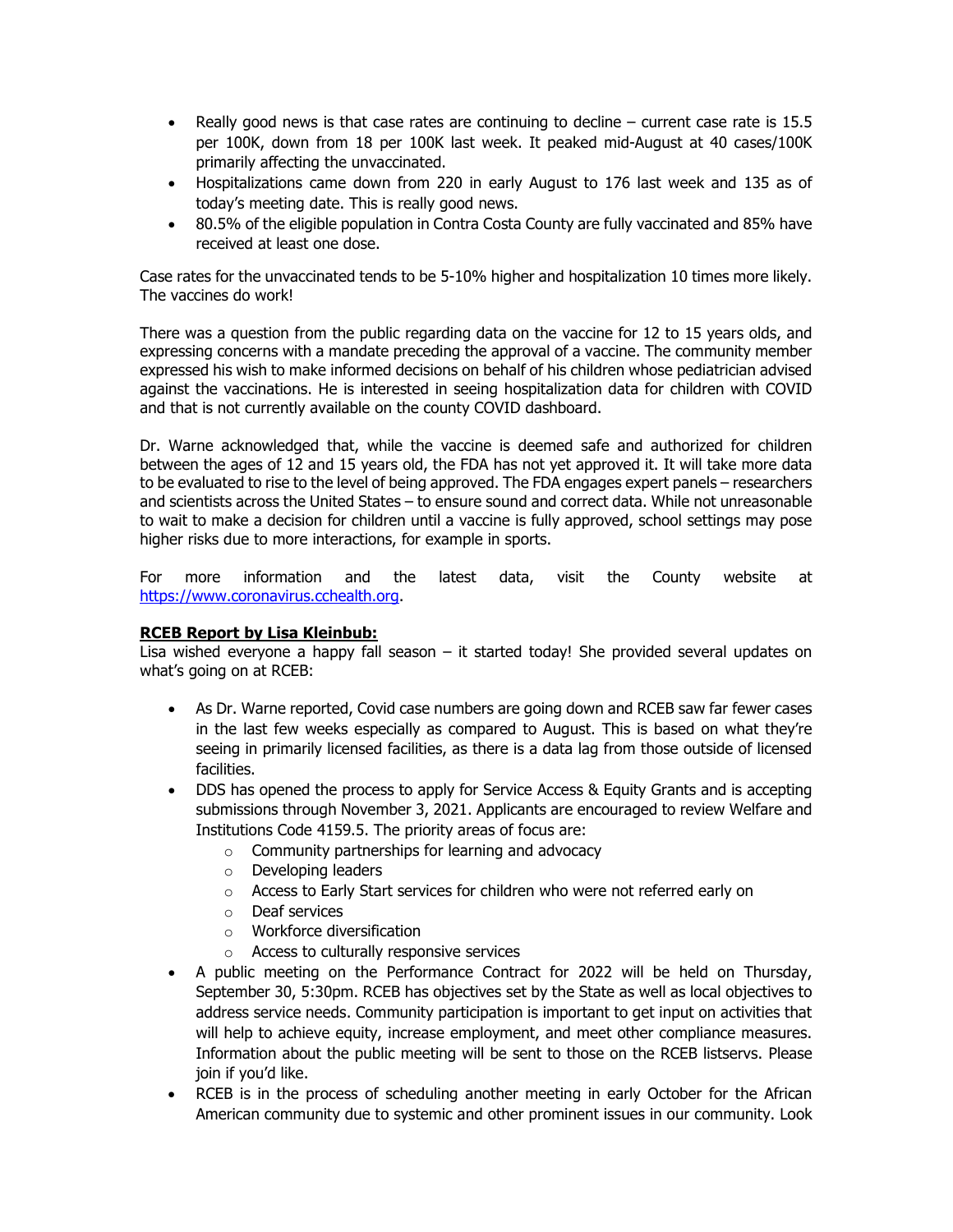- Really good news is that case rates are continuing to decline current case rate is 15.5 per 100K, down from 18 per 100K last week. It peaked mid-August at 40 cases/100K primarily affecting the unvaccinated.
- Hospitalizations came down from 220 in early August to 176 last week and 135 as of today's meeting date. This is really good news.
- 80.5% of the eligible population in Contra Costa County are fully vaccinated and 85% have received at least one dose.

Case rates for the unvaccinated tends to be 5-10% higher and hospitalization 10 times more likely. The vaccines do work!

There was a question from the public regarding data on the vaccine for 12 to 15 years olds, and expressing concerns with a mandate preceding the approval of a vaccine. The community member expressed his wish to make informed decisions on behalf of his children whose pediatrician advised against the vaccinations. He is interested in seeing hospitalization data for children with COVID and that is not currently available on the county COVID dashboard.

Dr. Warne acknowledged that, while the vaccine is deemed safe and authorized for children between the ages of 12 and 15 years old, the FDA has not yet approved it. It will take more data to be evaluated to rise to the level of being approved. The FDA engages expert panels – researchers and scientists across the United States – to ensure sound and correct data. While not unreasonable to wait to make a decision for children until a vaccine is fully approved, school settings may pose higher risks due to more interactions, for example in sports.

For more information and the latest data, visit the County website at [https://www.coronavirus.cchealth.org.](https://www.coronavirus.cchealth.org/)

# **RCEB Report by Lisa Kleinbub:**

Lisa wished everyone a happy fall season – it started today! She provided several updates on what's going on at RCEB:

- As Dr. Warne reported, Covid case numbers are going down and RCEB saw far fewer cases in the last few weeks especially as compared to August. This is based on what they're seeing in primarily licensed facilities, as there is a data lag from those outside of licensed facilities.
- DDS has opened the process to apply for Service Access & Equity Grants and is accepting submissions through November 3, 2021. Applicants are encouraged to review Welfare and Institutions Code 4159.5. The priority areas of focus are:
	- o Community partnerships for learning and advocacy
	- o Developing leaders
	- o Access to Early Start services for children who were not referred early on
	- o Deaf services
	- o Workforce diversification
	- o Access to culturally responsive services
- A public meeting on the Performance Contract for 2022 will be held on Thursday, September 30, 5:30pm. RCEB has objectives set by the State as well as local objectives to address service needs. Community participation is important to get input on activities that will help to achieve equity, increase employment, and meet other compliance measures. Information about the public meeting will be sent to those on the RCEB listservs. Please join if you'd like.
- RCEB is in the process of scheduling another meeting in early October for the African American community due to systemic and other prominent issues in our community. Look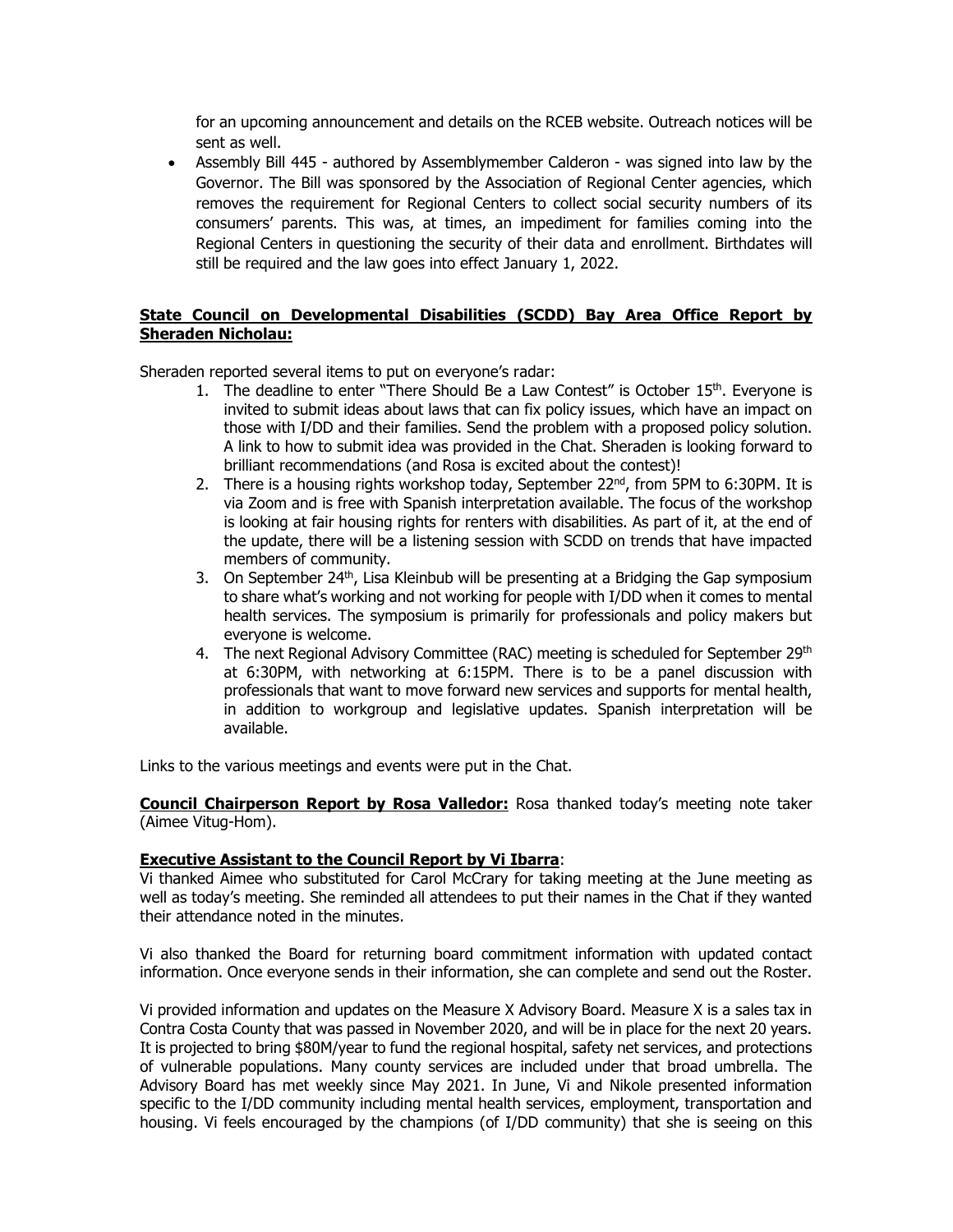for an upcoming announcement and details on the RCEB website. Outreach notices will be sent as well.

• Assembly Bill 445 - authored by Assemblymember Calderon - was signed into law by the Governor. The Bill was sponsored by the Association of Regional Center agencies, which removes the requirement for Regional Centers to collect social security numbers of its consumers' parents. This was, at times, an impediment for families coming into the Regional Centers in questioning the security of their data and enrollment. Birthdates will still be required and the law goes into effect January 1, 2022.

# **State Council on Developmental Disabilities (SCDD) Bay Area Office Report by Sheraden Nicholau:**

Sheraden reported several items to put on everyone's radar:

- 1. The deadline to enter "There Should Be a Law Contest" is October  $15<sup>th</sup>$ . Everyone is invited to submit ideas about laws that can fix policy issues, which have an impact on those with I/DD and their families. Send the problem with a proposed policy solution. A link to how to submit idea was provided in the Chat. Sheraden is looking forward to brilliant recommendations (and Rosa is excited about the contest)!
- 2. There is a housing rights workshop today, September 22<sup>nd</sup>, from 5PM to 6:30PM. It is via Zoom and is free with Spanish interpretation available. The focus of the workshop is looking at fair housing rights for renters with disabilities. As part of it, at the end of the update, there will be a listening session with SCDD on trends that have impacted members of community.
- 3. On September  $24<sup>th</sup>$ , Lisa Kleinbub will be presenting at a Bridging the Gap symposium to share what's working and not working for people with I/DD when it comes to mental health services. The symposium is primarily for professionals and policy makers but everyone is welcome.
- 4. The next Regional Advisory Committee (RAC) meeting is scheduled for September 29<sup>th</sup> at 6:30PM, with networking at 6:15PM. There is to be a panel discussion with professionals that want to move forward new services and supports for mental health, in addition to workgroup and legislative updates. Spanish interpretation will be available.

Links to the various meetings and events were put in the Chat.

**Council Chairperson Report by Rosa Valledor:** Rosa thanked today's meeting note taker (Aimee Vitug-Hom).

# **Executive Assistant to the Council Report by Vi Ibarra**:

Vi thanked Aimee who substituted for Carol McCrary for taking meeting at the June meeting as well as today's meeting. She reminded all attendees to put their names in the Chat if they wanted their attendance noted in the minutes.

Vi also thanked the Board for returning board commitment information with updated contact information. Once everyone sends in their information, she can complete and send out the Roster.

Vi provided information and updates on the Measure X Advisory Board. Measure X is a sales tax in Contra Costa County that was passed in November 2020, and will be in place for the next 20 years. It is projected to bring \$80M/year to fund the regional hospital, safety net services, and protections of vulnerable populations. Many county services are included under that broad umbrella. The Advisory Board has met weekly since May 2021. In June, Vi and Nikole presented information specific to the I/DD community including mental health services, employment, transportation and housing. Vi feels encouraged by the champions (of I/DD community) that she is seeing on this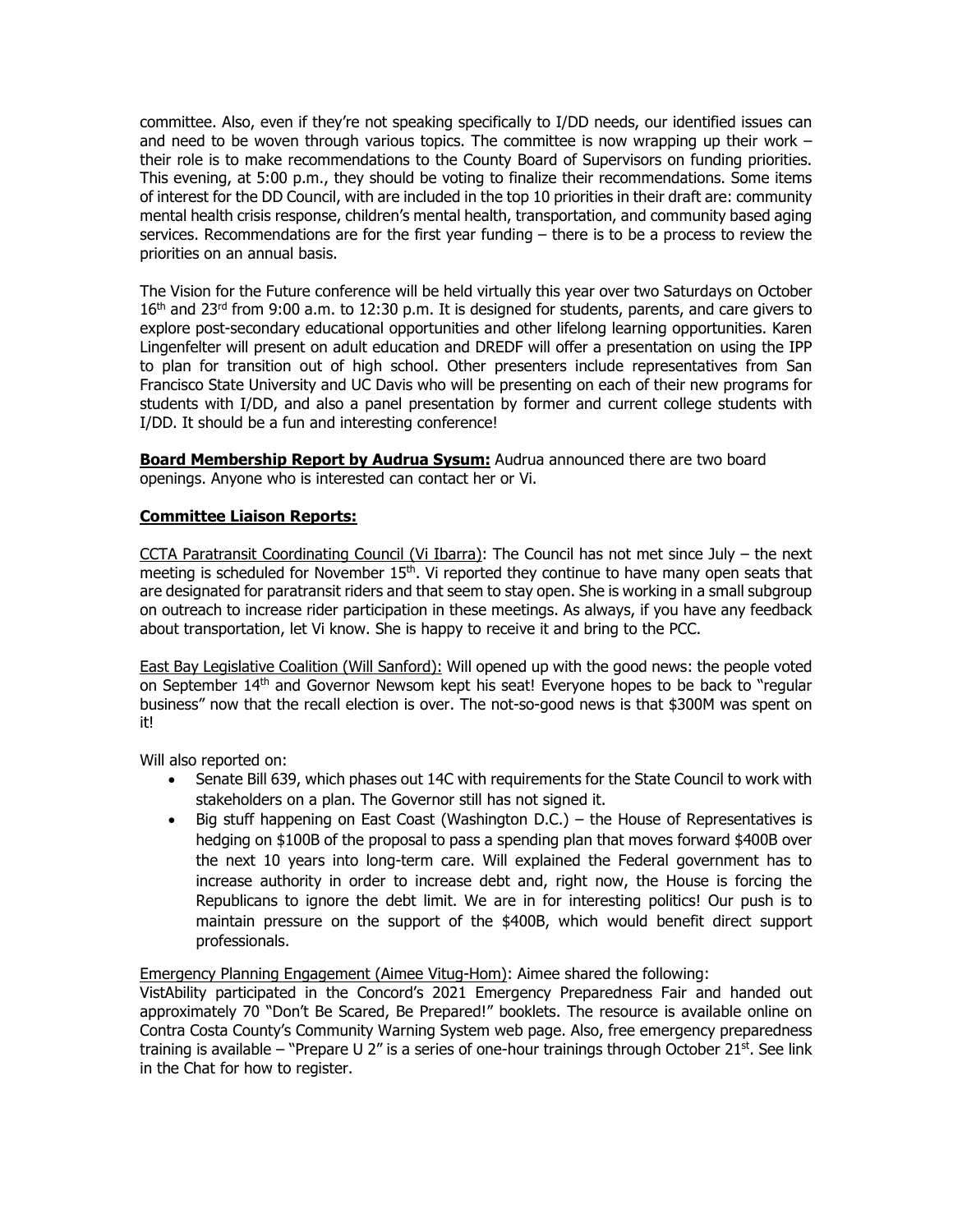committee. Also, even if they're not speaking specifically to I/DD needs, our identified issues can and need to be woven through various topics. The committee is now wrapping up their work  $$ their role is to make recommendations to the County Board of Supervisors on funding priorities. This evening, at 5:00 p.m., they should be voting to finalize their recommendations. Some items of interest for the DD Council, with are included in the top 10 priorities in their draft are: community mental health crisis response, children's mental health, transportation, and community based aging services. Recommendations are for the first year funding – there is to be a process to review the priorities on an annual basis.

The Vision for the Future conference will be held virtually this year over two Saturdays on October 16<sup>th</sup> and 23<sup>rd</sup> from 9:00 a.m. to 12:30 p.m. It is designed for students, parents, and care givers to explore post-secondary educational opportunities and other lifelong learning opportunities. Karen Lingenfelter will present on adult education and DREDF will offer a presentation on using the IPP to plan for transition out of high school. Other presenters include representatives from San Francisco State University and UC Davis who will be presenting on each of their new programs for students with I/DD, and also a panel presentation by former and current college students with I/DD. It should be a fun and interesting conference!

**Board Membership Report by Audrua Sysum:** Audrua announced there are two board openings. Anyone who is interested can contact her or Vi.

# **Committee Liaison Reports:**

CCTA Paratransit Coordinating Council (Vi Ibarra): The Council has not met since July – the next meeting is scheduled for November 15<sup>th</sup>. Vi reported they continue to have many open seats that are designated for paratransit riders and that seem to stay open. She is working in a small subgroup on outreach to increase rider participation in these meetings. As always, if you have any feedback about transportation, let Vi know. She is happy to receive it and bring to the PCC.

East Bay Legislative Coalition (Will Sanford): Will opened up with the good news: the people voted on September 14th and Governor Newsom kept his seat! Everyone hopes to be back to "regular business" now that the recall election is over. The not-so-good news is that \$300M was spent on it!

Will also reported on:

- Senate Bill 639, which phases out 14C with requirements for the State Council to work with stakeholders on a plan. The Governor still has not signed it.
- Big stuff happening on East Coast (Washington D.C.) the House of Representatives is hedging on \$100B of the proposal to pass a spending plan that moves forward \$400B over the next 10 years into long-term care. Will explained the Federal government has to increase authority in order to increase debt and, right now, the House is forcing the Republicans to ignore the debt limit. We are in for interesting politics! Our push is to maintain pressure on the support of the \$400B, which would benefit direct support professionals.

Emergency Planning Engagement (Aimee Vitug-Hom): Aimee shared the following:

VistAbility participated in the Concord's 2021 Emergency Preparedness Fair and handed out approximately 70 "Don't Be Scared, Be Prepared!" booklets. The resource is available online on Contra Costa County's Community Warning System web page. Also, free emergency preparedness training is available – "Prepare U 2" is a series of one-hour trainings through October 21<sup>st</sup>. See link in the Chat for how to register.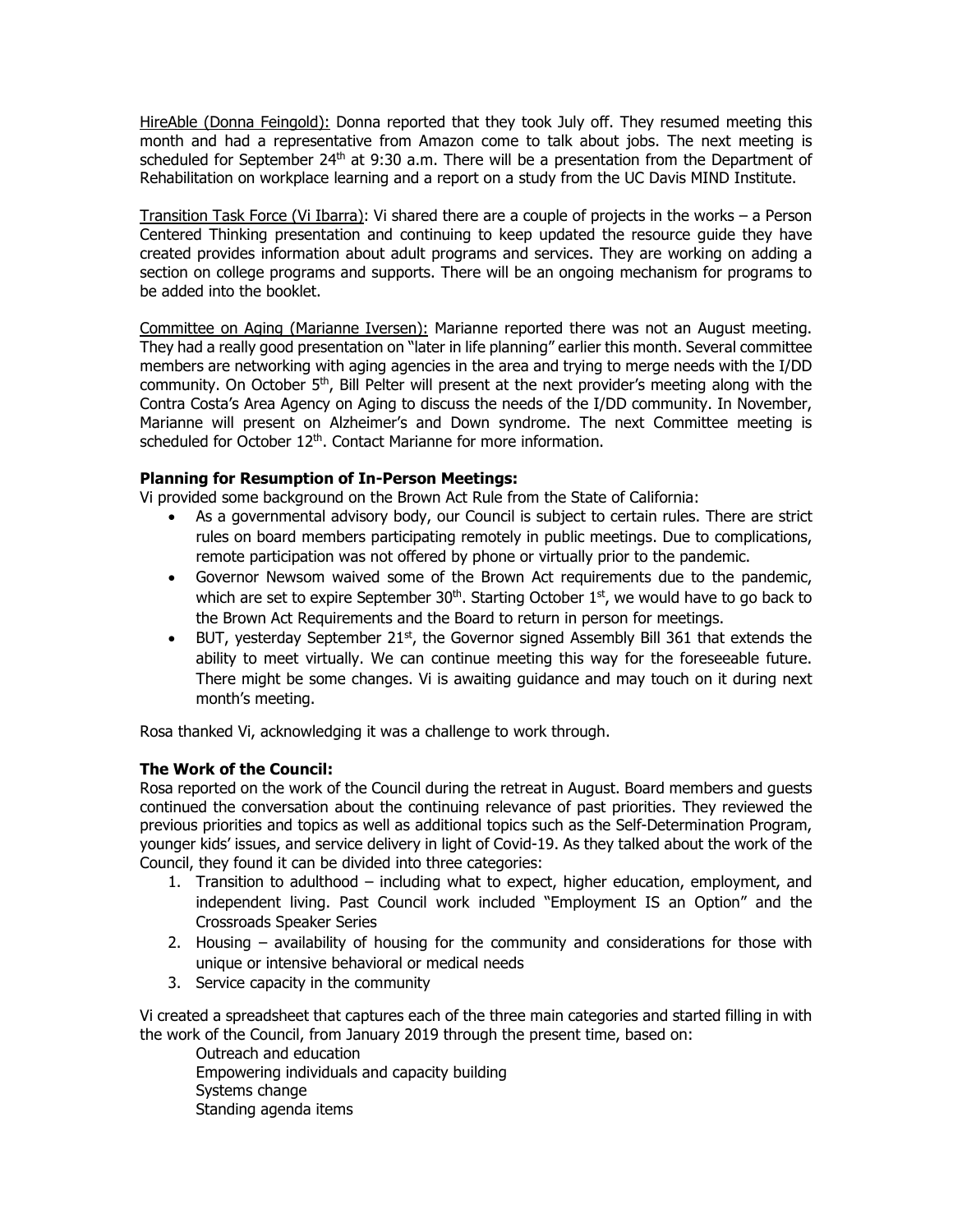HireAble (Donna Feingold): Donna reported that they took July off. They resumed meeting this month and had a representative from Amazon come to talk about jobs. The next meeting is scheduled for September  $24<sup>th</sup>$  at 9:30 a.m. There will be a presentation from the Department of Rehabilitation on workplace learning and a report on a study from the UC Davis MIND Institute.

Transition Task Force (Vi Ibarra): Vi shared there are a couple of projects in the works – a Person Centered Thinking presentation and continuing to keep updated the resource guide they have created provides information about adult programs and services. They are working on adding a section on college programs and supports. There will be an ongoing mechanism for programs to be added into the booklet.

Committee on Aging (Marianne Iversen): Marianne reported there was not an August meeting. They had a really good presentation on "later in life planning" earlier this month. Several committee members are networking with aging agencies in the area and trying to merge needs with the I/DD community. On October 5<sup>th</sup>, Bill Pelter will present at the next provider's meeting along with the Contra Costa's Area Agency on Aging to discuss the needs of the I/DD community. In November, Marianne will present on Alzheimer's and Down syndrome. The next Committee meeting is scheduled for October 12<sup>th</sup>. Contact Marianne for more information.

# **Planning for Resumption of In-Person Meetings:**

Vi provided some background on the Brown Act Rule from the State of California:

- As a governmental advisory body, our Council is subject to certain rules. There are strict rules on board members participating remotely in public meetings. Due to complications, remote participation was not offered by phone or virtually prior to the pandemic.
- Governor Newsom waived some of the Brown Act requirements due to the pandemic, which are set to expire September  $30<sup>th</sup>$ . Starting October  $1<sup>st</sup>$ , we would have to go back to the Brown Act Requirements and the Board to return in person for meetings.
- BUT, yesterday September  $21^{st}$ , the Governor signed Assembly Bill 361 that extends the ability to meet virtually. We can continue meeting this way for the foreseeable future. There might be some changes. Vi is awaiting guidance and may touch on it during next month's meeting.

Rosa thanked Vi, acknowledging it was a challenge to work through.

# **The Work of the Council:**

Rosa reported on the work of the Council during the retreat in August. Board members and guests continued the conversation about the continuing relevance of past priorities. They reviewed the previous priorities and topics as well as additional topics such as the Self-Determination Program, younger kids' issues, and service delivery in light of Covid-19. As they talked about the work of the Council, they found it can be divided into three categories:

- 1. Transition to adulthood including what to expect, higher education, employment, and independent living. Past Council work included "Employment IS an Option" and the Crossroads Speaker Series
- 2. Housing availability of housing for the community and considerations for those with unique or intensive behavioral or medical needs
- 3. Service capacity in the community

Vi created a spreadsheet that captures each of the three main categories and started filling in with the work of the Council, from January 2019 through the present time, based on:

Outreach and education Empowering individuals and capacity building Systems change Standing agenda items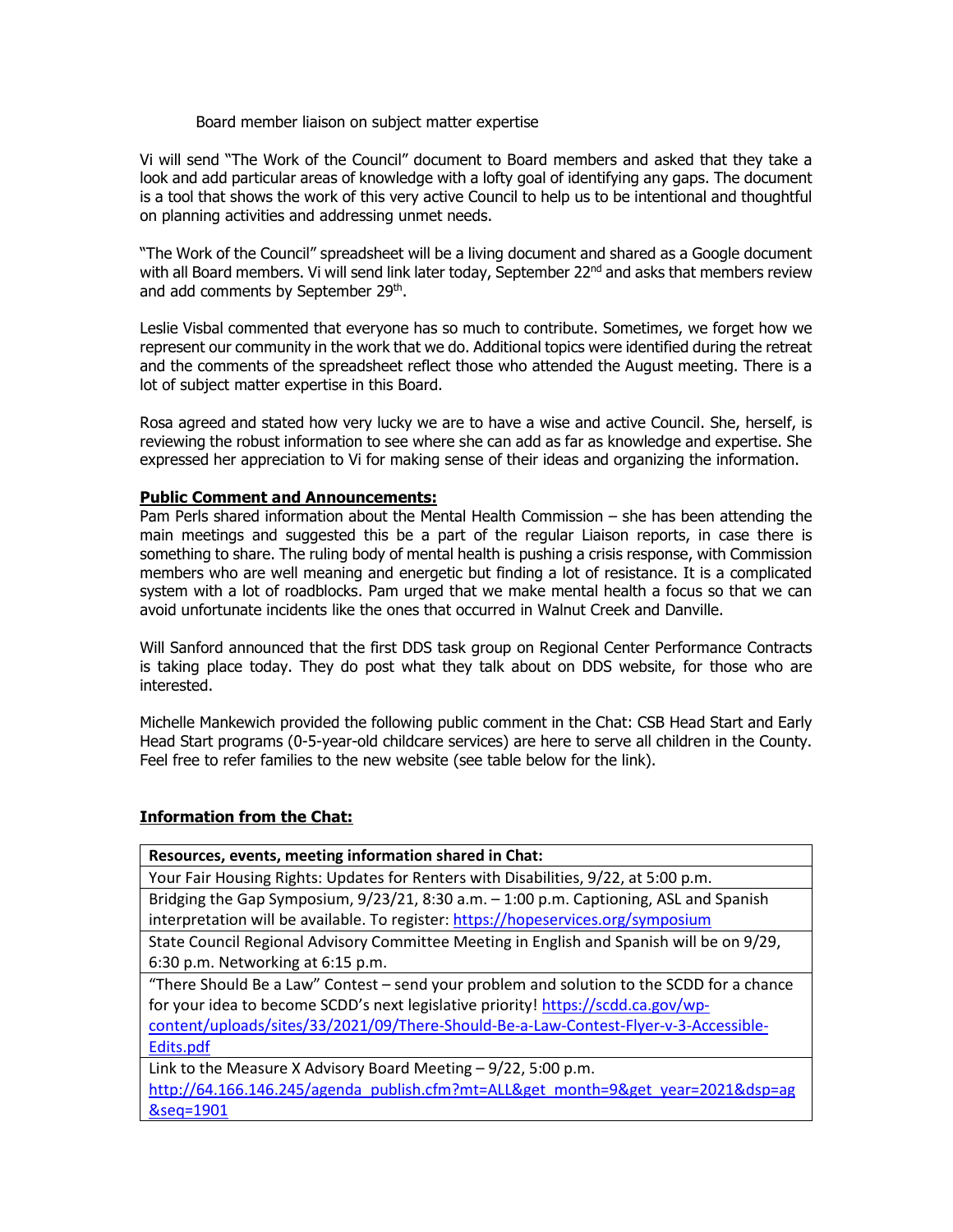#### Board member liaison on subject matter expertise

Vi will send "The Work of the Council" document to Board members and asked that they take a look and add particular areas of knowledge with a lofty goal of identifying any gaps. The document is a tool that shows the work of this very active Council to help us to be intentional and thoughtful on planning activities and addressing unmet needs.

"The Work of the Council" spreadsheet will be a living document and shared as a Google document with all Board members. Vi will send link later today, September 22<sup>nd</sup> and asks that members review and add comments by September 29<sup>th</sup>.

Leslie Visbal commented that everyone has so much to contribute. Sometimes, we forget how we represent our community in the work that we do. Additional topics were identified during the retreat and the comments of the spreadsheet reflect those who attended the August meeting. There is a lot of subject matter expertise in this Board.

Rosa agreed and stated how very lucky we are to have a wise and active Council. She, herself, is reviewing the robust information to see where she can add as far as knowledge and expertise. She expressed her appreciation to Vi for making sense of their ideas and organizing the information.

#### **Public Comment and Announcements:**

Pam Perls shared information about the Mental Health Commission – she has been attending the main meetings and suggested this be a part of the regular Liaison reports, in case there is something to share. The ruling body of mental health is pushing a crisis response, with Commission members who are well meaning and energetic but finding a lot of resistance. It is a complicated system with a lot of roadblocks. Pam urged that we make mental health a focus so that we can avoid unfortunate incidents like the ones that occurred in Walnut Creek and Danville.

Will Sanford announced that the first DDS task group on Regional Center Performance Contracts is taking place today. They do post what they talk about on DDS website, for those who are interested.

Michelle Mankewich provided the following public comment in the Chat: CSB Head Start and Early Head Start programs (0-5-year-old childcare services) are here to serve all children in the County. Feel free to refer families to the new website (see table below for the link).

# **Information from the Chat:**

| Resources, events, meeting information shared in Chat:                                    |
|-------------------------------------------------------------------------------------------|
| Your Fair Housing Rights: Updates for Renters with Disabilities, 9/22, at 5:00 p.m.       |
| Bridging the Gap Symposium, 9/23/21, 8:30 a.m. - 1:00 p.m. Captioning, ASL and Spanish    |
| interpretation will be available. To register: https://hopeservices.org/symposium         |
| State Council Regional Advisory Committee Meeting in English and Spanish will be on 9/29, |
| 6:30 p.m. Networking at 6:15 p.m.                                                         |
| "There Should Be a Law" Contest - send your problem and solution to the SCDD for a chance |
| for your idea to become SCDD's next legislative priority! https://scdd.ca.gov/wp-         |
| content/uploads/sites/33/2021/09/There-Should-Be-a-Law-Contest-Flyer-v-3-Accessible-      |
| Edits.pdf                                                                                 |
| Link to the Measure X Advisory Board Meeting $-9/22$ , 5:00 p.m.                          |
| http://64.166.146.245/agenda publish.cfm?mt=ALL&get month=9&get year=2021&dsp=ag          |
| &seq=1901                                                                                 |